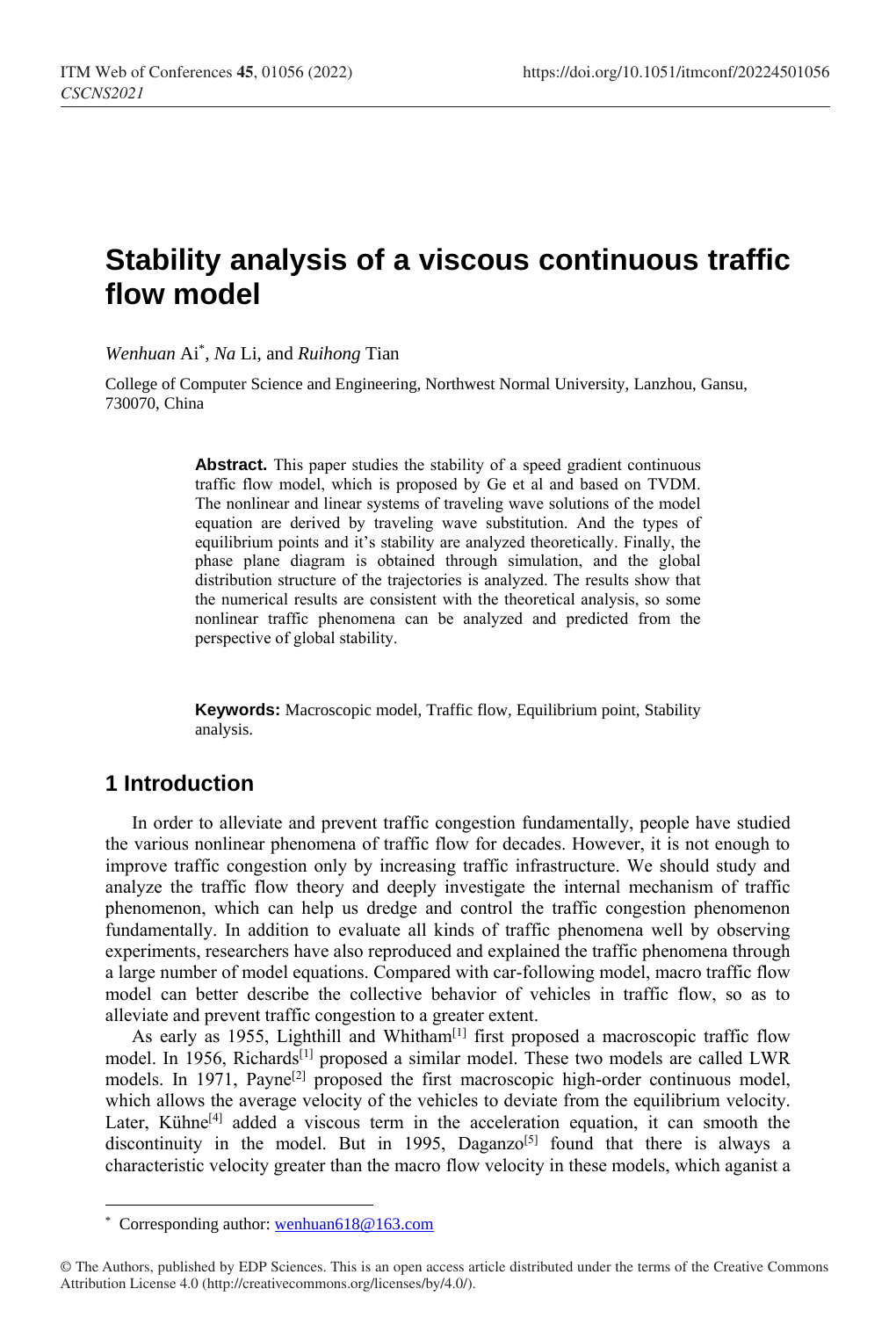# **Stability analysis of a viscous continuous traffic flow model**

*Wenhuan* Ai\* , *Na* Li, and *Ruihong* Tian

College of Computer Science and Engineering, Northwest Normal University, Lanzhou, Gansu, 730070, China

> Abstract. This paper studies the stability of a speed gradient continuous traffic flow model, which is proposed by Ge et al and based on TVDM. The nonlinear and linear systems of traveling wave solutions of the model equation are derived by traveling wave substitution. And the types of equilibrium points and it's stability are analyzed theoretically. Finally, the phase plane diagram is obtained through simulation, and the global distribution structure of the trajectories is analyzed. The results show that the numerical results are consistent with the theoretical analysis, so some nonlinear traffic phenomena can be analyzed and predicted from the perspective of global stability.

> **Keywords:** Macroscopic model, Traffic flow, Equilibrium point, Stability analysis.

# **1 Introduction**

 $\overline{a}$ 

In order to alleviate and prevent traffic congestion fundamentally, people have studied the various nonlinear phenomena of traffic flow for decades. However, it is not enough to improve traffic congestion only by increasing traffic infrastructure. We should study and analyze the traffic flow theory and deeply investigate the internal mechanism of traffic phenomenon, which can help us dredge and control the traffic congestion phenomenon fundamentally. In addition to evaluate all kinds of traffic phenomena well by observing experiments, researchers have also reproduced and explained the traffic phenomena through a large number of model equations. Compared with car-following model, macro traffic flow model can better describe the collective behavior of vehicles in traffic flow, so as to alleviate and prevent traffic congestion to a greater extent.

As early as 1955, Lighthill and Whitham<sup>[\[1\]](#page-4-0)</sup> first proposed a macroscopic traffic flow model. In 1956, Richards<sup>[\[1\]](#page-4-1)</sup> proposed a similar model. These two models are called LWR models. In 1971,  $Pavne^{[2]}$  $Pavne^{[2]}$  $Pavne^{[2]}$  proposed the first macroscopic high-order continuous model, which allows the average velocity of the vehicles to deviate from the equilibrium velocity. Later, Kühne<sup>[4]</sup> added a viscous term in the acceleration equation, it can smooth the discontinuity in the model. But in 1995, Daganzo<sup>[5]</sup> found that there is always a characteristic velocity greater than the macro flow velocity in these models, which aganist a

<sup>\*</sup> Corresponding author[: wenhuan618@163.com](mailto:wenhuan618@163.com)

<sup>©</sup> The Authors, published by EDP Sciences. This is an open access article distributed under the terms of the Creative Commons Attribution License 4.0 (http://creativecommons.org/licenses/by/4.0/).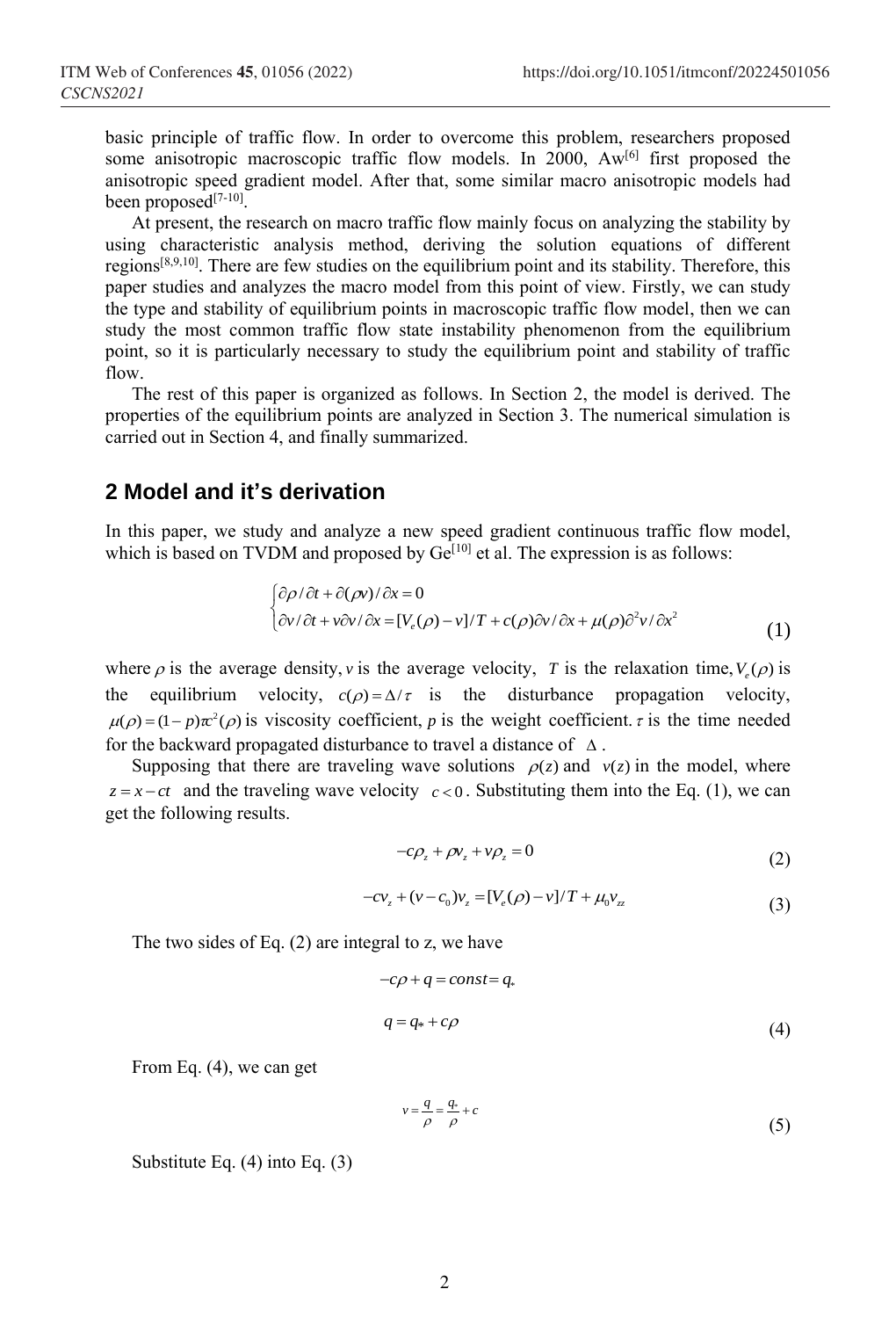basic principle of traffic flow. In order to overcome this problem, researchers proposed some anisotropic macroscopic traffic flow models. In 2000,  $Aw^{[6]}$  first proposed the anisotropic speed gradient model. After that, some similar macro anisotropic models had been proposed<sup>[7-10]</sup>.

At present, the research on macro traffic flow mainly focus on analyzing the stability by using characteristic analysis method, deriving the solution equations of different regions<sup>[8,9,10]</sup>. There are few studies on the equilibrium point and its stability. Therefore, this paper studies and analyzes the macro model from this point of view. Firstly, we can study the type and stability of equilibrium points in macroscopic traffic flow model, then we can study the most common traffic flow state instability phenomenon from the equilibrium point, so it is particularly necessary to study the equilibrium point and stability of traffic flow.

The rest of this paper is organized as follows. In Section 2, the model is derived. The properties of the equilibrium points are analyzed in Section 3. The numerical simulation is carried out in Section 4, and finally summarized.

## **2 Model and it's derivation**

In this paper, we study and analyze a new speed gradient continuous traffic flow model, which is based on TVDM and proposed by  $Ge^{[10]}$  et al. The expression is as follows:

$$
\begin{cases} \frac{\partial \rho}{\partial t} + \frac{\partial (\rho v)}{\partial x} = 0 \\ \frac{\partial v}{\partial t} + v \frac{\partial v}{\partial x} = [V_e(\rho) - v]/T + c(\rho) \frac{\partial v}{\partial x} + \mu(\rho) \frac{\partial^2 v}{\partial x^2} \end{cases}
$$
 (1)

where  $\rho$  is the average density, v is the average velocity, T is the relaxation time,  $V_e(\rho)$  is the equilibrium velocity,  $c(\rho) = \Delta/\tau$  is the disturbance propagation velocity,  $\mu(\rho) = (1 - p)\pi^2(\rho)$  is viscosity coefficient, p is the weight coefficient.  $\tau$  is the time needed for the backward propagated disturbance to travel a distance of  $\Delta$ .

Supposing that there are traveling wave solutions  $\rho(z)$  and  $v(z)$  in the model, where  $z = x - ct$  and the traveling wave velocity  $c < 0$ . Substituting them into the Eq. (1), we can get the following results.

$$
-c\rho_z + \rho v_z + v\rho_z = 0 \tag{2}
$$

$$
-c v_z + (v - c_0) v_z = [V_e(\rho) - v]/T + \mu_0 v_{zz}
$$
\n(3)

The two sides of Eq. (2) are integral to z, we have

$$
-c\rho + q = const = q,
$$
  
\n
$$
q = q_* + c\rho
$$
\n(4)

From Eq. (4), we can get

$$
v = \frac{q}{\rho} = \frac{q}{\rho} + c \tag{5}
$$

Substitute Eq. (4) into Eq. (3)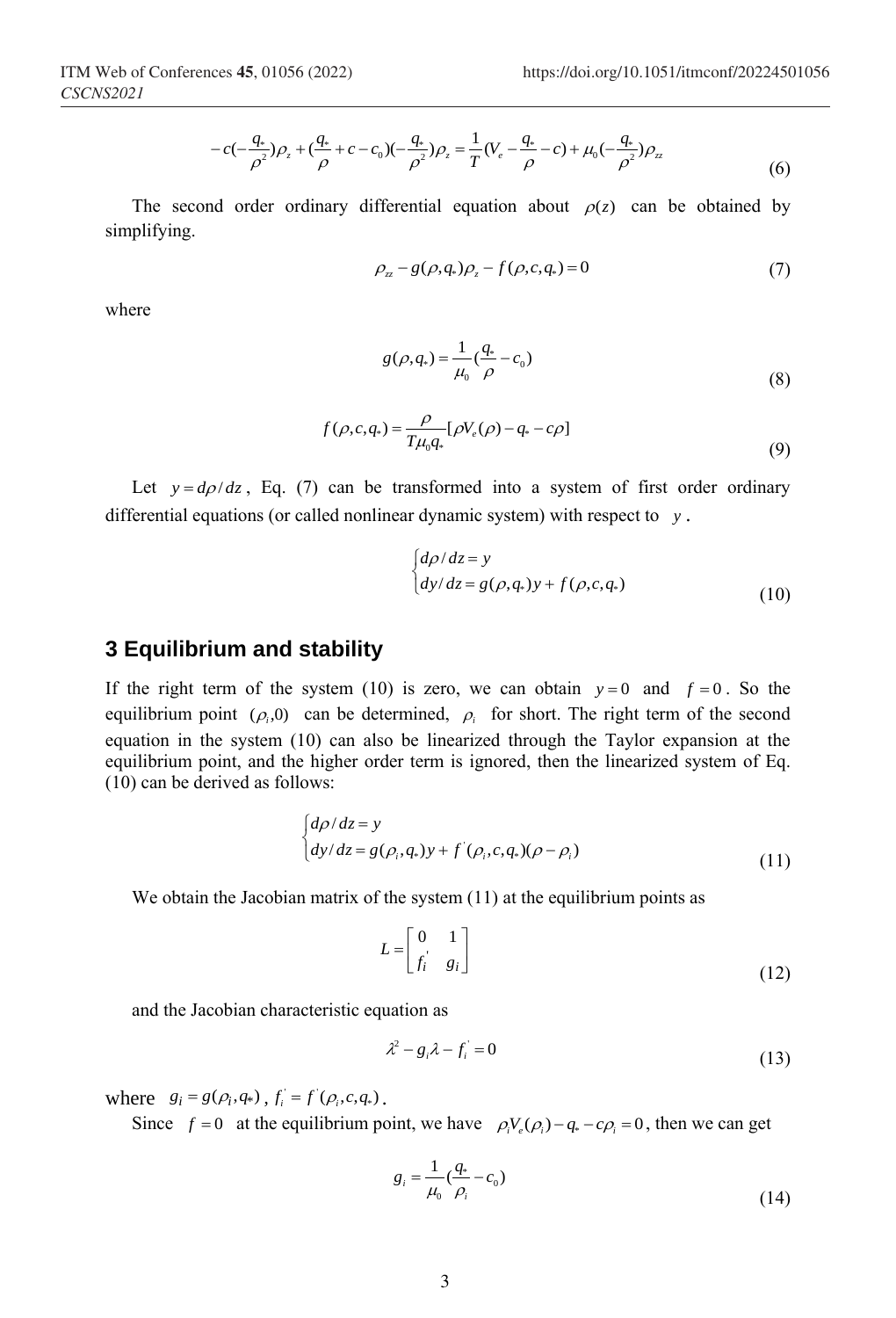$$
-c(-\frac{q_*}{\rho^2})\rho_z + (\frac{q_*}{\rho} + c - c_0)(-\frac{q_*}{\rho^2})\rho_z = \frac{1}{T}(V_e - \frac{q_*}{\rho} - c) + \mu_0(-\frac{q_*}{\rho^2})\rho_z
$$
(6)

The second order ordinary differential equation about  $\rho(z)$  can be obtained by simplifying.

$$
\rho_{z} - g(\rho, q_*)\rho_z - f(\rho, c, q_*) = 0 \tag{7}
$$

where

$$
g(\rho, q_*) = \frac{1}{\mu_0} \left(\frac{q_*}{\rho} - c_0\right) \tag{8}
$$

$$
f(\rho, c, q_*) = \frac{\rho}{T\mu_0 q_*} [\rho V_e(\rho) - q_* - c\rho]
$$
\n(9)

Let  $y = d\rho/dz$ , Eq. (7) can be transformed into a system of first order ordinary differential equations (or called nonlinear dynamic system) with respect to *y* .

$$
\begin{cases}\n d\rho/dz = y \\
 dy/dz = g(\rho, q_s)y + f(\rho, c, q_s)\n\end{cases}
$$
\n(10)

#### **3 Equilibrium and stability**

If the right term of the system (10) is zero, we can obtain  $y=0$  and  $f=0$ . So the equilibrium point  $(\rho_i, 0)$  can be determined,  $\rho_i$  for short. The right term of the second equation in the system (10) can also be linearized through the Taylor expansion at the equilibrium point, and the higher order term is ignored, then the linearized system of Eq. (10) can be derived as follows:

$$
\begin{cases}\nd\rho/dz = y \\
dy/dz = g(\rho_i, q_*)y + f'(\rho_i, c, q_*)(\rho - \rho_i)\n\end{cases}
$$
\n(11)

We obtain the Jacobian matrix of the system (11) at the equilibrium points as

$$
L = \begin{bmatrix} 0 & 1 \\ f_i & g_i \end{bmatrix}
$$
 (12)

and the Jacobian characteristic equation as

$$
\lambda^2 - g_i \lambda - f_i = 0 \tag{13}
$$

where  $g_i = g(\rho_i, q_*)$ ,  $f_i = f'(\rho_i, c, q_*)$ .

Since  $f = 0$  at the equilibrium point, we have  $\rho_i V_e(\rho_i) - q_* - c\rho_i = 0$ , then we can get

$$
g_i = \frac{1}{\mu_0} \left( \frac{q_*}{\rho_i} - c_0 \right) \tag{14}
$$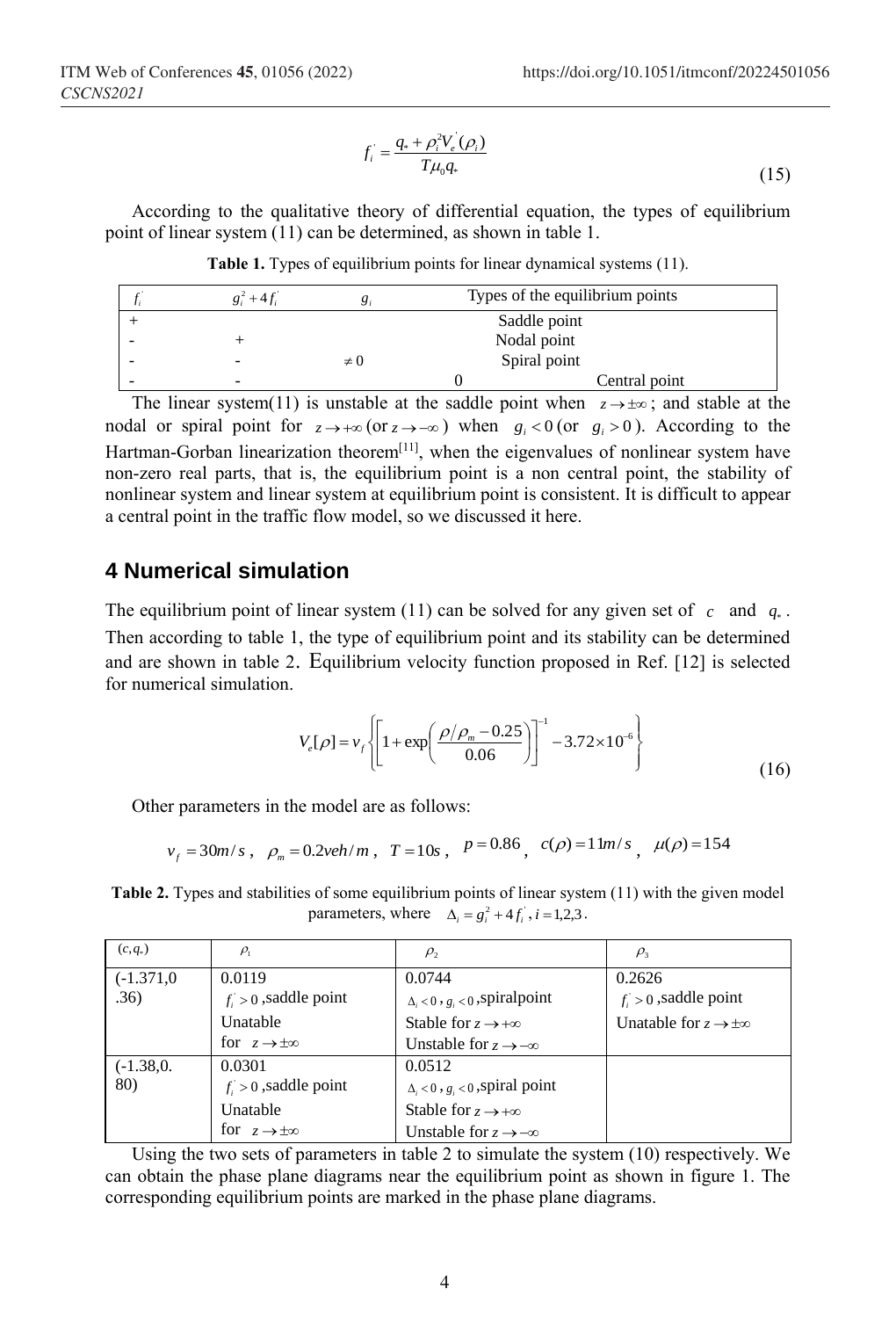$$
f_i = \frac{q_* + \rho_i^2 V_e(\rho_i)}{T \mu_0 q_*}
$$
\n(15)

According to the qualitative theory of differential equation, the types of equilibrium point of linear system (11) can be determined, as shown in table 1.

**Table 1.** Types of equilibrium points for linear dynamical systems (11).

| $g_i^2 + 4f_i$ |          | Types of the equilibrium points |  |
|----------------|----------|---------------------------------|--|
|                |          | Saddle point                    |  |
|                |          | Nodal point                     |  |
|                | $\neq 0$ | Spiral point                    |  |
|                |          | Central point                   |  |

The linear system(11) is unstable at the saddle point when  $z \rightarrow \pm \infty$ ; and stable at the nodal or spiral point for  $z \to +\infty$  (or  $z \to -\infty$ ) when  $g_i < 0$  (or  $g_i > 0$ ). According to the Hartman-Gorban linearization theorem<sup>[\[11\]](#page-5-1)</sup>, when the eigenvalues of nonlinear system have non-zero real parts, that is, the equilibrium point is a non central point, the stability of nonlinear system and linear system at equilibrium point is consistent. It is difficult to appear a central point in the traffic flow model, so we discussed it here.

## **4 Numerical simulation**

The equilibrium point of linear system (11) can be solved for any given set of  $c$  and  $q_*$ . Then according to table 1, the type of equilibrium point and its stability can be determined and are shown in table 2. Equilibrium velocity function proposed in Ref. [12] is selected for numerical simulation.

$$
V_e[\rho] = v_f \left\{ \left[ 1 + \exp\left( \frac{\rho/\rho_m - 0.25}{0.06} \right) \right]^{-1} - 3.72 \times 10^{-6} \right\}
$$
(16)

Other parameters in the model are as follows:

$$
v_f = 30m/s
$$
,  $\rho_m = 0.2 \text{veh/m}$ ,  $T = 10s$ ,  $P = 0.86$ ,  $c(\rho) = 1 \text{ lm/s}$ ,  $\mu(\rho) = 154$ 

**Table 2.** Types and stabilities of some equilibrium points of linear system (11) with the given model parameters, where  $\Delta_i = g_i^2 + 4f_i$ ,  $i = 1,2,3$ .

| $(c,q_*)$   | $\rho_{\scriptscriptstyle 1}$  | $\rho_{2}$                                | $\rho$ <sub>3</sub>                     |
|-------------|--------------------------------|-------------------------------------------|-----------------------------------------|
| $(-1.371,0$ | 0.0119                         | 0.0744                                    | 0.2626                                  |
| .36)        | $f > 0$ , saddle point         | $\Delta_i < 0$ , $g_i < 0$ , spiral point | $f_i > 0$ , saddle point                |
|             | Unatable                       | Stable for $z \rightarrow +\infty$        | Unatable for $z \rightarrow \pm \infty$ |
|             | for $z \rightarrow \pm \infty$ | Unstable for $z \rightarrow -\infty$      |                                         |
| $(-1.38,0.$ | 0.0301                         | 0.0512                                    |                                         |
| 80)         | $f > 0$ , saddle point         | $\Delta_i < 0$ , $g_i < 0$ , spiral point |                                         |
|             | Unatable                       | Stable for $z \rightarrow +\infty$        |                                         |
|             | for $z \rightarrow \pm \infty$ | Unstable for $z \rightarrow -\infty$      |                                         |

Using the two sets of parameters in table 2 to simulate the system (10) respectively. We can obtain the phase plane diagrams near the equilibrium point as shown in figure 1. The corresponding equilibrium points are marked in the phase plane diagrams.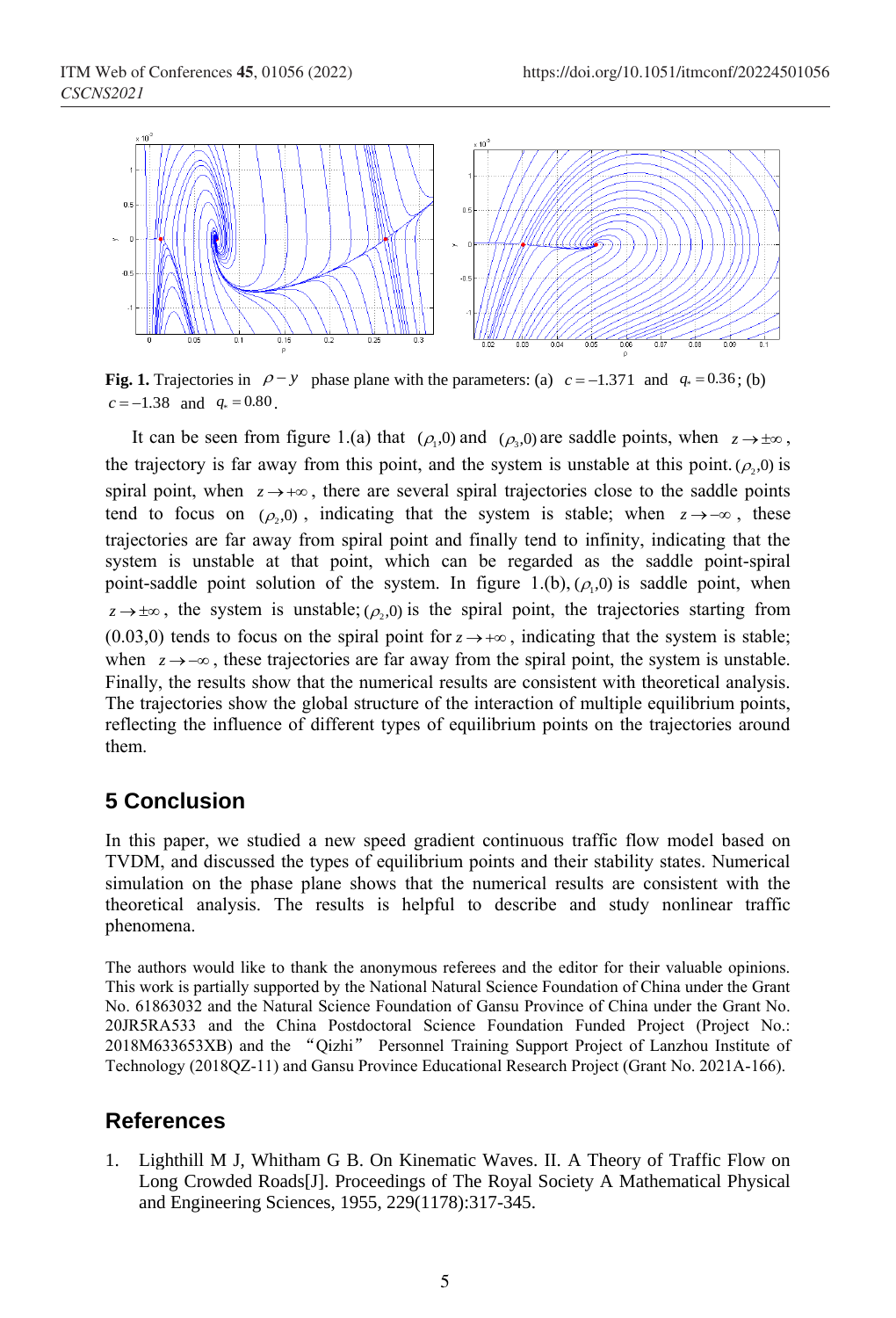ITM Web of Conferences **45**, 01056 (2022) *CSCNS2021*



**Fig. 1.** Trajectories in  $\rho - y$  phase plane with the parameters: (a)  $c = -1.371$  and  $q_* = 0.36$ ; (b)  $c = -1.38$  and  $q_* = 0.80$ .

It can be seen from figure 1.(a) that  $(\rho_1, 0)$  and  $(\rho_3, 0)$  are saddle points, when  $z \to \pm \infty$ , the trajectory is far away from this point, and the system is unstable at this point.  $(\rho_2, 0)$  is spiral point, when  $z \rightarrow +\infty$ , there are several spiral trajectories close to the saddle points tend to focus on  $(\rho_2, 0)$ , indicating that the system is stable; when  $z \to -\infty$ , these trajectories are far away from spiral point and finally tend to infinity, indicating that the system is unstable at that point, which can be regarded as the saddle point-spiral point-saddle point solution of the system. In figure 1.(b),  $(\rho_1, 0)$  is saddle point, when  $z \rightarrow \pm \infty$ , the system is unstable; ( $\rho$ <sub>2</sub>,0) is the spiral point, the trajectories starting from  $(0.03,0)$  tends to focus on the spiral point for  $z \rightarrow +\infty$ , indicating that the system is stable; when  $z \rightarrow -\infty$ , these trajectories are far away from the spiral point, the system is unstable. Finally, the results show that the numerical results are consistent with theoretical analysis. The trajectories show the global structure of the interaction of multiple equilibrium points, reflecting the influence of different types of equilibrium points on the trajectories around them.

## **5 Conclusion**

In this paper, we studied a new speed gradient continuous traffic flow model based on TVDM, and discussed the types of equilibrium points and their stability states. Numerical simulation on the phase plane shows that the numerical results are consistent with the theoretical analysis. The results is helpful to describe and study nonlinear traffic phenomena.

The authors would like to thank the anonymous referees and the editor for their valuable opinions. This work is partially supported by the National Natural Science Foundation of China under the Grant No. 61863032 and the Natural Science Foundation of Gansu Province of China under the Grant No. 20JR5RA533 and the China Postdoctoral Science Foundation Funded Project (Project No.: 2018M633653XB) and the "Qizhi" Personnel Training Support Project of Lanzhou Institute of Technology (2018QZ-11) and Gansu Province Educational Research Project (Grant No. 2021A-166).

### **References**

<span id="page-4-1"></span><span id="page-4-0"></span>1. Lighthill M J, Whitham G B. On Kinematic Waves. II. A Theory of Traffic Flow on Long Crowded Roads[J]. Proceedings of The Royal Society A Mathematical Physical and Engineering Sciences, 1955, 229(1178):317-345.